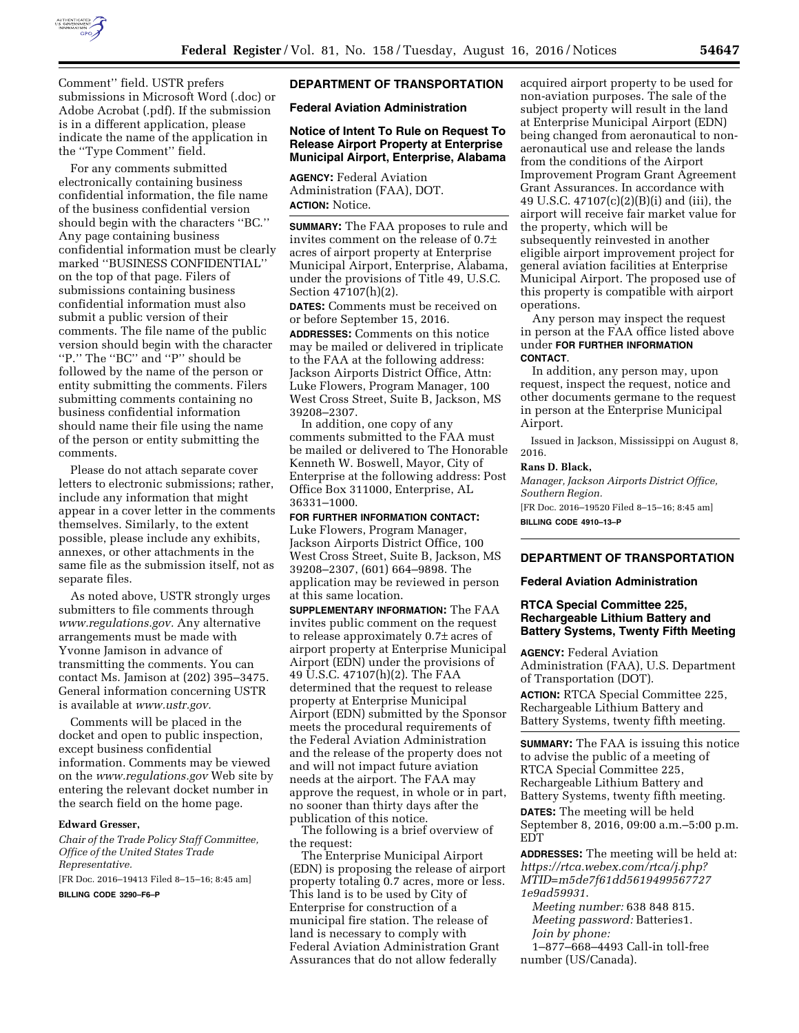

Comment'' field. USTR prefers submissions in Microsoft Word (.doc) or Adobe Acrobat (.pdf). If the submission is in a different application, please indicate the name of the application in the ''Type Comment'' field.

For any comments submitted electronically containing business confidential information, the file name of the business confidential version should begin with the characters ''BC.'' Any page containing business confidential information must be clearly marked ''BUSINESS CONFIDENTIAL'' on the top of that page. Filers of submissions containing business confidential information must also submit a public version of their comments. The file name of the public version should begin with the character "P." The "BC" and "P" should be followed by the name of the person or entity submitting the comments. Filers submitting comments containing no business confidential information should name their file using the name of the person or entity submitting the comments.

Please do not attach separate cover letters to electronic submissions; rather, include any information that might appear in a cover letter in the comments themselves. Similarly, to the extent possible, please include any exhibits, annexes, or other attachments in the same file as the submission itself, not as separate files.

As noted above, USTR strongly urges submitters to file comments through *[www.regulations.gov.](http://www.regulations.gov)* Any alternative arrangements must be made with Yvonne Jamison in advance of transmitting the comments. You can contact Ms. Jamison at (202) 395–3475. General information concerning USTR is available at *[www.ustr.gov.](www.ustr.gov)* 

Comments will be placed in the docket and open to public inspection, except business confidential information. Comments may be viewed on the *[www.regulations.gov](http://www.regulations.gov)* Web site by entering the relevant docket number in the search field on the home page.

#### **Edward Gresser,**

*Chair of the Trade Policy Staff Committee, Office of the United States Trade Representative.* 

[FR Doc. 2016–19413 Filed 8–15–16; 8:45 am]

**BILLING CODE 3290–F6–P** 

## **DEPARTMENT OF TRANSPORTATION**

**Federal Aviation Administration** 

## **Notice of Intent To Rule on Request To Release Airport Property at Enterprise Municipal Airport, Enterprise, Alabama**

**AGENCY:** Federal Aviation Administration (FAA), DOT. **ACTION:** Notice.

**SUMMARY:** The FAA proposes to rule and invites comment on the release of 0.7± acres of airport property at Enterprise Municipal Airport, Enterprise, Alabama, under the provisions of Title 49, U.S.C. Section 47107(h)(2).

**DATES:** Comments must be received on or before September 15, 2016.

**ADDRESSES:** Comments on this notice may be mailed or delivered in triplicate to the FAA at the following address: Jackson Airports District Office, Attn: Luke Flowers, Program Manager, 100 West Cross Street, Suite B, Jackson, MS 39208–2307.

In addition, one copy of any comments submitted to the FAA must be mailed or delivered to The Honorable Kenneth W. Boswell, Mayor, City of Enterprise at the following address: Post Office Box 311000, Enterprise, AL 36331–1000.

**FOR FURTHER INFORMATION CONTACT:**  Luke Flowers, Program Manager, Jackson Airports District Office, 100 West Cross Street, Suite B, Jackson, MS 39208–2307, (601) 664–9898. The application may be reviewed in person at this same location.

**SUPPLEMENTARY INFORMATION:** The FAA invites public comment on the request to release approximately 0.7± acres of airport property at Enterprise Municipal Airport (EDN) under the provisions of 49 U.S.C. 47107(h)(2). The FAA determined that the request to release property at Enterprise Municipal Airport (EDN) submitted by the Sponsor meets the procedural requirements of the Federal Aviation Administration and the release of the property does not and will not impact future aviation needs at the airport. The FAA may approve the request, in whole or in part, no sooner than thirty days after the publication of this notice.

The following is a brief overview of the request:

The Enterprise Municipal Airport (EDN) is proposing the release of airport property totaling 0.7 acres, more or less. This land is to be used by City of Enterprise for construction of a municipal fire station. The release of land is necessary to comply with Federal Aviation Administration Grant Assurances that do not allow federally

acquired airport property to be used for non-aviation purposes. The sale of the subject property will result in the land at Enterprise Municipal Airport (EDN) being changed from aeronautical to nonaeronautical use and release the lands from the conditions of the Airport Improvement Program Grant Agreement Grant Assurances. In accordance with 49 U.S.C. 47107(c)(2)(B)(i) and (iii), the airport will receive fair market value for the property, which will be subsequently reinvested in another eligible airport improvement project for general aviation facilities at Enterprise Municipal Airport. The proposed use of this property is compatible with airport operations.

Any person may inspect the request in person at the FAA office listed above under **FOR FURTHER INFORMATION CONTACT**.

In addition, any person may, upon request, inspect the request, notice and other documents germane to the request in person at the Enterprise Municipal Airport.

Issued in Jackson, Mississippi on August 8, 2016.

#### **Rans D. Black,**

*Manager, Jackson Airports District Office, Southern Region.*  [FR Doc. 2016–19520 Filed 8–15–16; 8:45 am] **BILLING CODE 4910–13–P** 

## **DEPARTMENT OF TRANSPORTATION**

#### **Federal Aviation Administration**

## **RTCA Special Committee 225, Rechargeable Lithium Battery and Battery Systems, Twenty Fifth Meeting**

**AGENCY:** Federal Aviation Administration (FAA), U.S. Department of Transportation (DOT).

**ACTION:** RTCA Special Committee 225, Rechargeable Lithium Battery and Battery Systems, twenty fifth meeting.

**SUMMARY:** The FAA is issuing this notice to advise the public of a meeting of RTCA Special Committee 225, Rechargeable Lithium Battery and Battery Systems, twenty fifth meeting. **DATES:** The meeting will be held September 8, 2016, 09:00 a.m.–5:00 p.m. EDT

**ADDRESSES:** The meeting will be held at: *[https://rtca.webex.com/rtca/j.php?](https://rtca.webex.com/rtca/j.php?MTID=m5de7f61dd56194995677271e9ad59931) [MTID=m5de7f61dd5619499567727](https://rtca.webex.com/rtca/j.php?MTID=m5de7f61dd56194995677271e9ad59931) [1e9ad59931](https://rtca.webex.com/rtca/j.php?MTID=m5de7f61dd56194995677271e9ad59931)*.

*Meeting number:* 638 848 815. *Meeting password:* Batteries1. *Join by phone:* 

1–877–668–4493 Call-in toll-free

number (US/Canada).